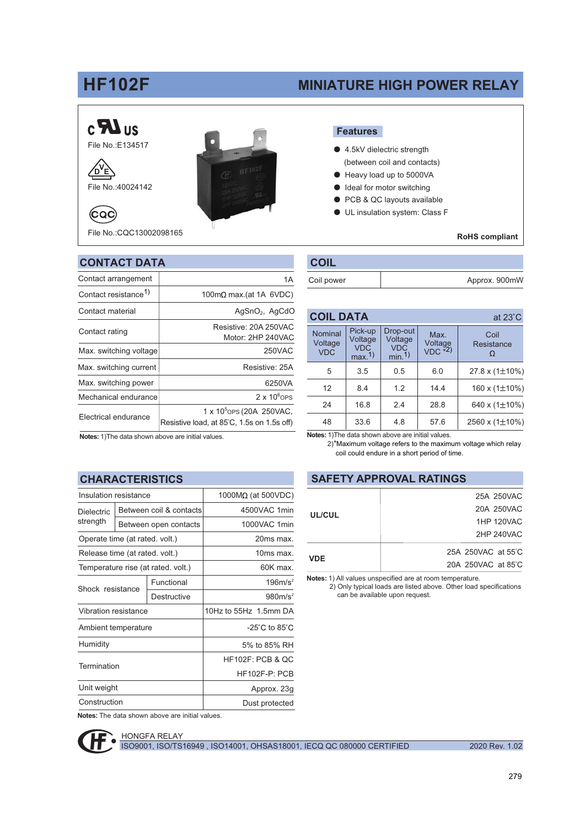# **HF102F**

File No.: COC13002098165

分

## **MINIATURE HIGH POWER RELAY**



#### **Features**

- 4.5kV dielectric strength (between coil and contacts)
- Heavy load up to 5000VA
- ldeal for motor switching
- PCB & QC layouts available  $\bullet$
- UL insulation system: Class F

#### **RoHS** compliant

| <b>CONTACT DATA</b>              | <b>COIL</b>                                |                       |  |
|----------------------------------|--------------------------------------------|-----------------------|--|
| Contact arrangement              | 1A                                         | Coil power            |  |
| Contact resistance <sup>1)</sup> | 100m $\Omega$ max.(at 1A 6VDC)             |                       |  |
| Contact material                 | $AgSnO2$ , $AgCdO$                         | <b>COIL DA</b>        |  |
| Contact rating                   | Resistive: 20A 250VAC<br>Motor: 2HP 240VAC | Nominal               |  |
| Max. switching voltage           | 250VAC                                     | Voltage<br><b>VDC</b> |  |
| Max. switching current           | Resistive: 25A                             | 5                     |  |
| Max. switching power             | 6250VA                                     | 12                    |  |
| Mechanical endurance             | $2 \times 10^6$ OPS                        |                       |  |
|                                  | 1 x 10 <sup>5</sup> ops (20A 250 VAC,      | 24                    |  |

Resistive load, at 85°C, 1.5s on 1.5s off)

| <b>COIL</b> |               |
|-------------|---------------|
| Coil power  | Approx. 900mW |

| <b>COIL DATA</b>                                   |                                           |                                                       |                            | at $23^\circ$ C     |
|----------------------------------------------------|-------------------------------------------|-------------------------------------------------------|----------------------------|---------------------|
| Nominal<br>Voltage<br><b>VDC</b>                   | Pick-up<br>Voltage<br><b>VDC</b><br>max.1 | Drop-out<br>Voltage<br><b>VDC</b><br>min <sub>1</sub> | Max.<br>Voltage<br>VDC *2) | Coil<br>Resistance  |
| 5                                                  | 3.5                                       | 0.5                                                   | 6.0                        | 27.8 x $(1\pm10\%)$ |
| 12                                                 | 8.4                                       | 1.2                                                   | 14.4                       | 160 x $(1\pm10\%)$  |
| 24                                                 | 16.8                                      | 2.4                                                   | 28.8                       | 640 x (1±10%)       |
| 48                                                 | 33.6                                      | 4.8                                                   | 57.6                       | 2560 x $(1\pm10\%)$ |
| Notes: 1) The data shown above are initial values. |                                           |                                                       |                            |                     |

Notes: 1) The data shown above are initial values.

#### **CHARACTERISTICS**

Electrical endurance

| Insulation resistance              |             | $1000M\Omega$ (at 500VDC)          |  |
|------------------------------------|-------------|------------------------------------|--|
| Between coil & contacts            |             | 4500VAC 1min                       |  |
| Between open contacts              |             | 1000VAC 1min                       |  |
| Operate time (at rated. volt.)     |             | 20ms max.                          |  |
| Release time (at rated. volt.)     |             | 10ms max.                          |  |
| Temperature rise (at rated. volt.) |             | 60K max                            |  |
|                                    | Functional  | 196m/s <sup>2</sup>                |  |
| Shock resistance                   | Destructive | 980m/s <sup>2</sup>                |  |
| Vibration resistance               |             | 10Hz to 55Hz 1.5mm DA              |  |
| Ambient temperature                |             | $-25^{\circ}$ C to 85 $^{\circ}$ C |  |
|                                    |             | 5% to 85% RH                       |  |
| Termination                        |             | <b>HF102F: PCB &amp; OC</b>        |  |
|                                    |             | HF102F-P: PCB                      |  |
| Unit weight                        |             | Approx. 23g                        |  |
| Construction                       |             | Dust protected                     |  |
|                                    |             |                                    |  |

Notes: The data shown above are initial values.



# **SAFETY APPROVAL RATINGS**

2)\*Maximum voltage refers to the maximum voltage which relay

coil could endure in a short period of time.

| UL/CUL     | 25A 250VAC         |
|------------|--------------------|
|            | 20A 250VAC         |
|            | 1HP 120VAC         |
|            | 2HP 240VAC         |
|            | 25A 250VAC at 55°C |
| <b>VDE</b> | 20A 250VAC at 85°C |

Notes: 1) All values unspecified are at room temperature.

2) Only typical loads are listed above. Other load specifications can be available upon request.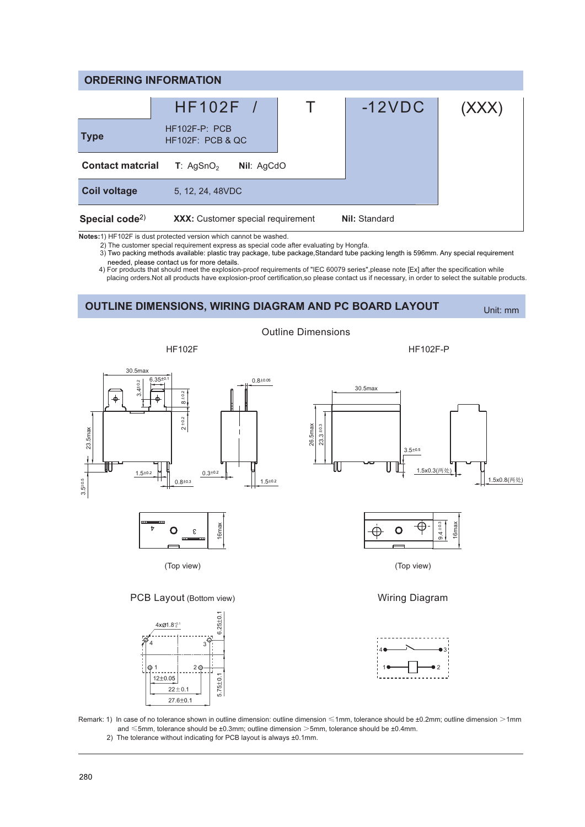| <b>ORDERING INFORMATION</b>             |                                          |                      |       |  |
|-----------------------------------------|------------------------------------------|----------------------|-------|--|
|                                         | HF102F /                                 | $-12VDC$             | (XXX) |  |
| <b>Type</b>                             | $HF102F-P: PCB$<br>$HF102F$ : PCB & QC   |                      |       |  |
| <b>Contact material</b>                 | T: AgSnO <sub>2</sub><br>Nil: AgCdO      |                      |       |  |
| <b>Coil voltage</b>                     | 5, 12, 24, 48 VDC                        |                      |       |  |
| Special code <sup><math>2)</math></sup> | <b>XXX:</b> Customer special requirement | <b>Nil: Standard</b> |       |  |

Notes:1) HF102F is dust protected version which cannot be washed.

2) The customer special requirement express as special code after evaluating by Hongfa.

3) Two packing methods available: plastic tray package, tube package, Standard tube packing length is 596mm. Any special requirement needed, please contact us for more details.

4) For products that should meet the explosion-proof requirements of "IEC 60079 series",please note [Ex] after the specification while placing orders. Not all products have explosion-proof certification, so please contact us if necessary, in order to select the suitable products.

**OUTLINE DIMENSIONS, WIRING DIAGRAM AND PC BOARD LAYOUT** 

Unit: mm



Remark: 1) In case of no tolerance shown in outline dimension: outline dimension <1mm, tolerance should be ±0.2mm; outline dimension >1mm and  $\leq$ 5mm, tolerance should be ±0.3mm; outline dimension >5mm, tolerance should be ±0.4mm. 2) The tolerance without indicating for PCB layout is always ±0.1mm.

 $12+0.05$ 

 $22 + 0.1$  $27.6 \pm 0.1$   $5.75 \pm 0.1$